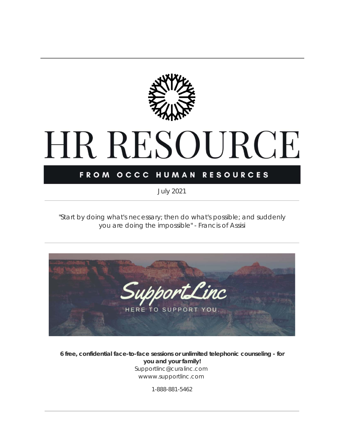

# HR RESOURCE

## FROM OCCC HUMAN RESOURCES

*July 2021*

*"Start by doing what's necessary; then do what's possible; and suddenly you are doing the impossible"* - Francis of Assisi



**6 free, confidential face-to-face sessions or unlimited telephonic counseling - for you and your family!** Supportlinc@curalinc.com wwww.supportlinc.com

1-888-881-5462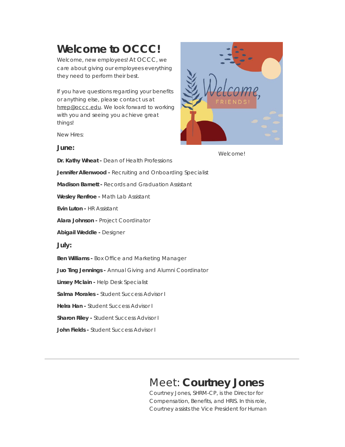# **Welcome to OCCC!**

Welcome, new employees! At OCCC, we care about giving our employees everything they need to perform their best.

If you have questions regarding your benefits or anything else, please contact us at [hrrep@occc.edu](mailto:hrrep@occc.edu). We look forward to working with you and seeing you achieve great things!

New Hires:





**Dr. Kathy Wheat -** Dean of Health Professions **Jennifer Allenwood -** Recruiting and Onboarding Specialist **Madison Barnett -** Records and Graduation Assistant **Wesley Renfroe -** Math Lab Assistant **Evin Luton -** HR Assistant **Alara Johnson -** Project Coordinator **Abigail Weddle -** Designer **July: Ben Williams -** Box Office and Marketing Manager **Juo Ting Jennings -** Annual Giving and Alumni Coordinator **Linsey Mclain -** Help Desk Specialist **Salma Morales -** Student Success Advisor I

**Helra Han -** Student Success Advisor I

**Sharon Riley -** Student Success Advisor I

**John Fields -** Student Success Advisor I

Welcome!

## Meet: **Courtney Jones**

Courtney Jones, SHRM-CP, is the Director for Compensation, Benefits, and HRIS. In this role, Courtney assists the Vice President for Human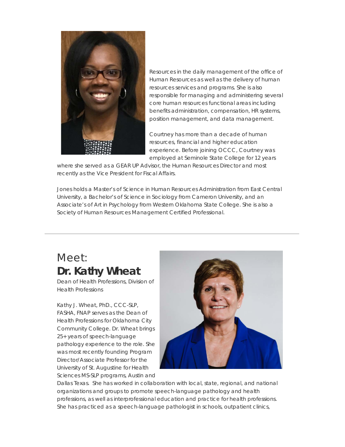

Resources in the daily management of the office of Human Resources as well as the delivery of human resources services and programs. She is also responsible for managing and administering several core human resources functional areas including benefits administration, compensation, HR systems, position management, and data management.

Courtney has more than a decade of human resources, financial and higher education experience. Before joining OCCC, Courtney was employed at Seminole State College for 12 years

where she served as a GEAR UP Advisor, the Human Resources Director and most recently as the Vice President for Fiscal Affairs.

Jones holds a Master's of Science in Human Resources Administration from East Central University, a Bachelor's of Science in Sociology from Cameron University, and an Associate's of Art in Psychology from Western Oklahoma State College. She is also a Society of Human Resources Management Certified Professional.

## Meet: **Dr. Kathy Wheat**

*Dean of Health Professions, Division of Health Professions*

Kathy J. Wheat, PhD., CCC-SLP, FASHA, FNAP serves as the Dean of Health Professions for Oklahoma City Community College. Dr. Wheat brings 25+ years of speech-language pathology experience to the role. She was most recently founding Program Director/Associate Professor for the University of St. Augustine for Health Sciences MS-SLP programs, Austin and



Dallas Texas. She has worked in collaboration with local, state, regional, and national organizations and groups to promote speech-language pathology and health professions, as well as interprofessional education and practice for health professions. She has practiced as a speech-language pathologist in schools, outpatient clinics,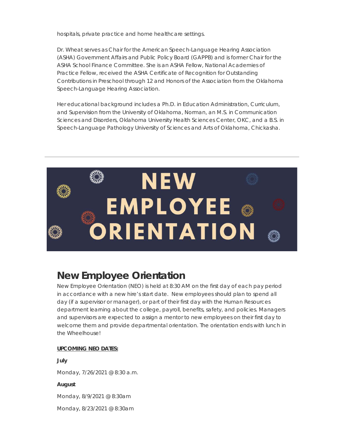hospitals, private practice and home healthcare settings.

Dr. Wheat serves as Chair for the American Speech-Language Hearing Association (ASHA) Government Affairs and Public Policy Board (GAPPB) and is former Chair for the ASHA School Finance Committee. She is an ASHA Fellow, National Academies of Practice Fellow, received the ASHA Certificate of Recognition for Outstanding Contributions in Preschool through 12 and Honors of the Association from the Oklahoma Speech-Language Hearing Association.

Her educational background includes a Ph.D. in Education Administration, Curriculum, and Supervision from the University of Oklahoma, Norman, an M.S. in Communication Sciences and Disorders, Oklahoma University Health Sciences Center, OKC, and a B.S. in Speech-Language Pathology University of Sciences and Arts of Oklahoma, Chickasha.



## **New Employee Orientation**

New Employee Orientation (NEO) is held at 8:30 AM on the first day of each pay period in accordance with a new hire's start date. New employees should plan to spend all day (if a supervisor or manager), or part of their first day with the Human Resources department learning about the college, payroll, benefits, safety, and policies. Managers and supervisors are expected to assign a mentor to new employees on their first day to welcome them and provide departmental orientation. The orientation ends with lunch in the Wheelhouse!

#### **UPCOMING NEO DATES:**

**July** Monday, 7/26/2021 @ 8:30 a.m.

**August**

Monday, 8/9/2021 @ 8:30am

Monday, 8/23/2021 @ 8:30am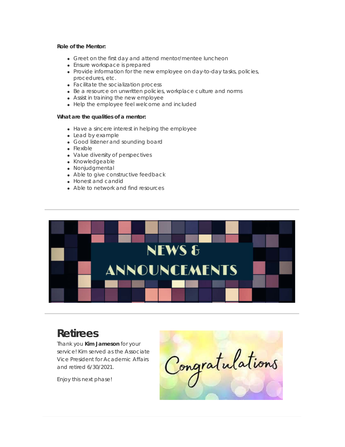#### **Role of the Mentor:**

- Greet on the first day and attend mentor/mentee luncheon
- Ensure workspace is prepared
- Provide information for the new employee on day-to-day tasks, policies, procedures, etc.
- Facilitate the socialization process
- Be a resource on unwritten policies, workplace culture and norms
- Assist in training the new employee
- Help the employee feel welcome and included

#### **What are the qualities of a mentor:**

- Have a sincere interest in helping the employee
- Lead by example
- Good listener and sounding board
- Flexible
- Value diversity of perspectives
- Knowledgeable
- Nonjudgmental
- Able to give constructive feedback
- Honest and candid
- Able to network and find resources



# **Retirees**

Thank you **Kim Jameson** for your service! Kim served as the Associate Vice President for Academic Affairs and retired 6/30/2021.

Enjoy this next phase!

Congratulations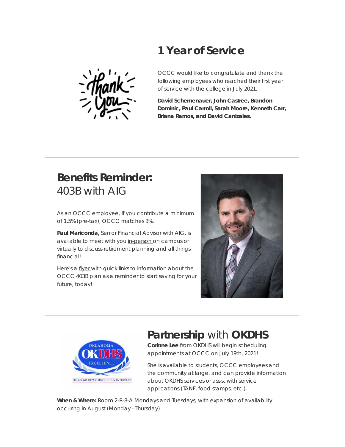## **1 Year of Service**



OCCC would like to congratulate and thank the following employees who reached their first year of service with the college in July 2021.

**David Schemenauer, John Castree, Brandon Dominic, Paul Carroll, Sarah Moore, Kenneth Carr, Briana Ramos, and David Canizales.**

# **Benefits Reminder:** 403B with AIG

As an OCCC employee, If you contribute a minimum of 1.5% (pre-tax), OCCC matches 3%.

**Paul Mariconda,** Senior Financial Advisor with AIG, is available to meet with you [in-person](https://t.e2ma.net/click/js5yigc/3bm47xl/nn8c535d) on campus or [virtually](https://t.e2ma.net/click/js5yigc/3bm47xl/3f9c535d) to discuss retirement planning and all things financial!

Here's a [flyer](https://t.e2ma.net/click/js5yigc/3bm47xl/j89c535d) with quick links to information about the OCCC 403B plan as a reminder to start saving for your future, today!





## **Partnership** with **OKDHS**

**Corinne Lee** from OKDHS will begin scheduling appointments at OCCC on July 19th, 2021!

She is available to students, OCCC employees and the community at large, and can provide information about OKDHS services or assist with service applications (TANF, food stamps, etc.).

**When & Where:** Room 2-R-8-A Mondays and Tuesdays, with expansion of availability occuring in August (Monday - Thursday).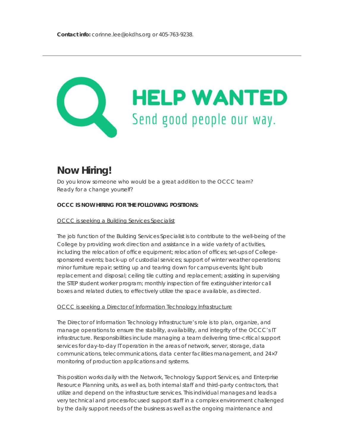

## **Now Hiring!**

Do you know someone who would be a great addition to the OCCC team? Ready for a change yourself?

#### **OCCC IS NOW HIRING FOR THE FOLLOWING POSITIONS:**

#### OCCC is seeking a Building Services [Specialist](https://t.e2ma.net/click/js5yigc/3bm47xl/z0ad535d)

The job function of the Building Services Specialist is to contribute to the well-being of the College by providing work direction and assistance in a wide variety of activities, including the relocation of office equipment; relocation of offices; set-ups of Collegesponsored events; back-up of custodial services; support of winter weather operations; minor furniture repair; setting up and tearing down for campus events; light bulb replacement and disposal; ceiling tile cutting and replacement; assisting in supervising the STEP student worker program; monthly inspection of fire extinguisher interior call boxes and related duties, to effectively utilize the space available, as directed.

#### OCCC is seeking a Director of Information Technology [Infrastructure](https://t.e2ma.net/click/js5yigc/3bm47xl/ftbd535d)

The Director of Information Technology Infrastructure's role is to plan, organize, and manage operations to ensure the stability, availability, and integrity of the OCCC's IT infrastructure. Responsibilities include managing a team delivering time-critical support services for day-to-day IT operation in the areas of network, server, storage, data communications, telecommunications, data center facilities management, and 24×7 monitoring of production applications and systems.

This position works daily with the Network, Technology Support Services, and Enterprise Resource Planning units, as well as, both internal staff and third-party contractors, that utilize and depend on the infrastructure services. This individual manages and leads a very technical and process-focused support staff in a complex environment challenged by the daily support needs of the business as well as the ongoing maintenance and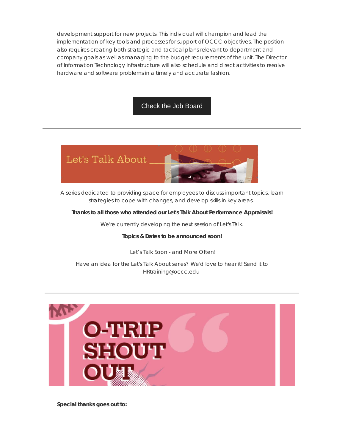development support for new projects. This individual will champion and lead the implementation of key tools and processes for support of OCCC objectives. The position also requires creating both strategic and tactical plans relevant to department and company goals as well as managing to the budget requirements of the unit. The Director of Information Technology Infrastructure will also schedule and direct activities to resolve hardware and software problems in a timely and accurate fashion.

[Check the Job Board](https://t.e2ma.net/click/js5yigc/3bm47xl/vlcd535d)



A series dedicated to providing space for employees to discuss important topics, learn strategies to cope with changes, and develop skills in key areas.

#### **Thanks to all those who attended our Let's Talk About Performance Appraisals!**

We're currently developing the next session of Let's Talk.

#### **Topics & Dates to be announced soon!**

*Let's Talk Soon - and More Often!*

Have an idea for the Let's Talk About series? We'd love to hear it! Send it to HRtraining@occc.edu



**Special thanks goes out to:**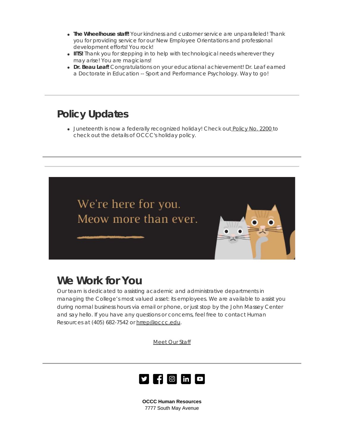- **The Wheelhouse staff!** Your kindness and customer service are unparalleled! Thank you for providing service for our New Employee Orientations and professional development efforts! You rock!
- **IITS!** Thank you for stepping in to help with technological needs wherever they may arise! You are magicians!
- **Dr. Beau Leaf!** Congratulations on your educational achievement! Dr. Leaf earned a Doctorate in Education -- Sport and Performance Psychology. Way to go!

# **Policy Updates**

• Juneteenth is now a federally recognized holiday! Check out [Policy](https://t.e2ma.net/click/js5yigc/3bm47xl/bedd535d) No. 2200 to check out the details of OCCC's holiday policy.



# **We Work for You**

Our team is dedicated to assisting academic and administrative departments in managing the College's most valued asset: its employees. We are available to assist you during normal business hours via email or phone, or just stop by the John Massey Center and say hello. If you have any questions or concerns, feel free to contact Human Resources at (405) 682-7542 or [hrrep@occc.edu](mailto:hrrep@occc.edu).

[Meet](https://t.e2ma.net/click/js5yigc/3bm47xl/r6dd535d) Our Staff



**OCCC Human Resources** 7777 South May Avenue